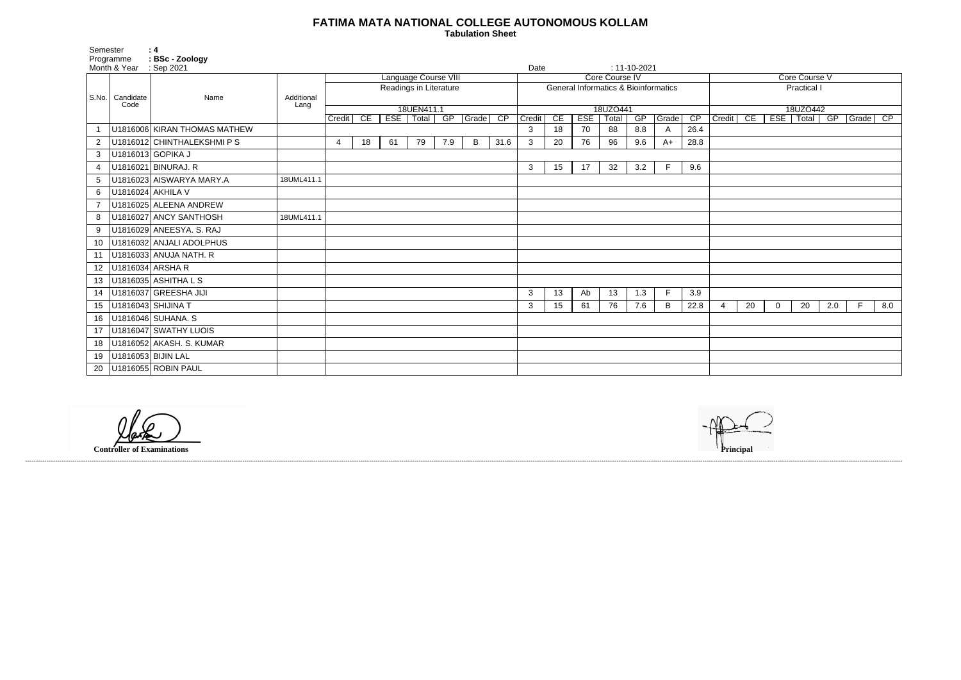## **FATIMA MATA NATIONAL COLLEGE AUTONOMOUS KOLLAM**

 **Tabulation Sheet** 

| Core Course V                                                   |    |   |    |     |   |     |  |  |  |  |  |  |
|-----------------------------------------------------------------|----|---|----|-----|---|-----|--|--|--|--|--|--|
| <b>Practical I</b>                                              |    |   |    |     |   |     |  |  |  |  |  |  |
|                                                                 |    |   |    |     |   |     |  |  |  |  |  |  |
| 18UZO442                                                        |    |   |    |     |   |     |  |  |  |  |  |  |
| CE<br><b>ESE</b><br>CP<br>Credit<br><b>Total</b><br>GP<br>Grade |    |   |    |     |   |     |  |  |  |  |  |  |
|                                                                 |    |   |    |     |   |     |  |  |  |  |  |  |
|                                                                 |    |   |    |     |   |     |  |  |  |  |  |  |
|                                                                 |    |   |    |     |   |     |  |  |  |  |  |  |
|                                                                 |    |   |    |     |   |     |  |  |  |  |  |  |
|                                                                 |    |   |    |     |   |     |  |  |  |  |  |  |
|                                                                 |    |   |    |     |   |     |  |  |  |  |  |  |
|                                                                 |    |   |    |     |   |     |  |  |  |  |  |  |
|                                                                 |    |   |    |     |   |     |  |  |  |  |  |  |
|                                                                 |    |   |    |     |   |     |  |  |  |  |  |  |
|                                                                 |    |   |    |     |   |     |  |  |  |  |  |  |
|                                                                 |    |   |    |     |   |     |  |  |  |  |  |  |
|                                                                 |    |   |    |     |   |     |  |  |  |  |  |  |
|                                                                 |    |   |    |     |   |     |  |  |  |  |  |  |
|                                                                 |    |   |    |     |   |     |  |  |  |  |  |  |
|                                                                 |    |   |    |     |   |     |  |  |  |  |  |  |
|                                                                 |    |   |    |     |   |     |  |  |  |  |  |  |
|                                                                 |    |   |    |     |   |     |  |  |  |  |  |  |
| 4                                                               | 20 | 0 | 20 | 2.0 | F | 8.0 |  |  |  |  |  |  |
|                                                                 |    |   |    |     |   |     |  |  |  |  |  |  |
|                                                                 |    |   |    |     |   |     |  |  |  |  |  |  |
|                                                                 |    |   |    |     |   |     |  |  |  |  |  |  |
|                                                                 |    |   |    |     |   |     |  |  |  |  |  |  |
|                                                                 |    |   |    |     |   |     |  |  |  |  |  |  |
|                                                                 |    |   |    |     |   |     |  |  |  |  |  |  |

| Semester          |                           | $\therefore$ 4                |                    |                                                |    |    |                                |     |                |                                                 |              |    |            |                   |                    |             |      |                |    |            |                   |     |       |                 |
|-------------------|---------------------------|-------------------------------|--------------------|------------------------------------------------|----|----|--------------------------------|-----|----------------|-------------------------------------------------|--------------|----|------------|-------------------|--------------------|-------------|------|----------------|----|------------|-------------------|-----|-------|-----------------|
|                   | Programme<br>Month & Year | : BSc - Zoology<br>: Sep 2021 |                    |                                                |    |    |                                |     |                |                                                 | Date         |    |            |                   | $: 11 - 10 - 2021$ |             |      |                |    |            |                   |     |       |                 |
|                   |                           |                               |                    | Language Course VIII<br>Readings in Literature |    |    |                                |     |                | Core Course IV                                  |              |    |            |                   |                    |             |      | Core Course V  |    |            |                   |     |       |                 |
| S.No.   Candidate |                           |                               |                    |                                                |    |    |                                |     |                | <b>General Informatics &amp; Bioinformatics</b> |              |    |            |                   |                    | Practical I |      |                |    |            |                   |     |       |                 |
|                   | Code                      | Name                          | Additional<br>Lang |                                                |    |    |                                |     |                |                                                 |              |    |            |                   |                    |             |      |                |    |            |                   |     |       |                 |
|                   |                           |                               |                    | Credit                                         | CE |    | 18UEN411.1<br>ESE   Total   GP |     | $\sqrt{Grade}$ | CP                                              | Credit       | CE | <b>ESE</b> | 18UZO441<br>Total | GP                 | Grade       | CP   | Credit         | CE | <b>ESE</b> | 18UZO442<br>Total | GP  | Grade | $\overline{CP}$ |
|                   |                           | U1816006 KIRAN THOMAS MATHEW  |                    |                                                |    |    |                                |     |                |                                                 | 3            | 18 | 70         | 88                | 8.8                | A           | 26.4 |                |    |            |                   |     |       |                 |
| $\overline{2}$    |                           | U1816012 CHINTHALEKSHMI PS    |                    | 4                                              | 18 | 61 | 79                             | 7.9 | B              | 31.6                                            | 3            | 20 | 76         | 96                | 9.6                | $A+$        | 28.8 |                |    |            |                   |     |       |                 |
| 3                 |                           | U1816013 GOPIKA J             |                    |                                                |    |    |                                |     |                |                                                 |              |    |            |                   |                    |             |      |                |    |            |                   |     |       |                 |
| $\overline{4}$    |                           | U1816021 BINURAJ. R           |                    |                                                |    |    |                                |     |                |                                                 | 3            | 15 | 17         | 32                | 3.2                | F.          | 9.6  |                |    |            |                   |     |       |                 |
| 5                 |                           | U1816023 AISWARYA MARY.A      | 18UML411.1         |                                                |    |    |                                |     |                |                                                 |              |    |            |                   |                    |             |      |                |    |            |                   |     |       |                 |
| 6                 |                           | U1816024 AKHILA V             |                    |                                                |    |    |                                |     |                |                                                 |              |    |            |                   |                    |             |      |                |    |            |                   |     |       |                 |
|                   |                           | U1816025 ALEENA ANDREW        |                    |                                                |    |    |                                |     |                |                                                 |              |    |            |                   |                    |             |      |                |    |            |                   |     |       |                 |
| 8                 |                           | U1816027 ANCY SANTHOSH        | 18UML411.1         |                                                |    |    |                                |     |                |                                                 |              |    |            |                   |                    |             |      |                |    |            |                   |     |       |                 |
| 9                 |                           | U1816029 ANEESYA. S. RAJ      |                    |                                                |    |    |                                |     |                |                                                 |              |    |            |                   |                    |             |      |                |    |            |                   |     |       |                 |
| 10                |                           | U1816032 ANJALI ADOLPHUS      |                    |                                                |    |    |                                |     |                |                                                 |              |    |            |                   |                    |             |      |                |    |            |                   |     |       |                 |
| 11                |                           | U1816033 ANUJA NATH. R        |                    |                                                |    |    |                                |     |                |                                                 |              |    |            |                   |                    |             |      |                |    |            |                   |     |       |                 |
| 12                |                           | U1816034 ARSHA R              |                    |                                                |    |    |                                |     |                |                                                 |              |    |            |                   |                    |             |      |                |    |            |                   |     |       |                 |
| 13                |                           | U1816035 ASHITHA L S          |                    |                                                |    |    |                                |     |                |                                                 |              |    |            |                   |                    |             |      |                |    |            |                   |     |       |                 |
| 14                |                           | U1816037 GREESHA JIJI         |                    |                                                |    |    |                                |     |                |                                                 | $\mathbf{3}$ | 13 | Ab         | 13                | 1.3                | F           | 3.9  |                |    |            |                   |     |       |                 |
| 15                |                           | U1816043 SHIJINA T            |                    |                                                |    |    |                                |     |                |                                                 | 3            | 15 | 61         | 76                | 7.6                | B           | 22.8 | $\overline{4}$ | 20 | $\Omega$   | 20                | 2.0 | F.    | 8.0             |
| 16                |                           | U1816046 SUHANA. S            |                    |                                                |    |    |                                |     |                |                                                 |              |    |            |                   |                    |             |      |                |    |            |                   |     |       |                 |
| 17                |                           | U1816047 SWATHY LUOIS         |                    |                                                |    |    |                                |     |                |                                                 |              |    |            |                   |                    |             |      |                |    |            |                   |     |       |                 |
| 18                |                           | U1816052 AKASH. S. KUMAR      |                    |                                                |    |    |                                |     |                |                                                 |              |    |            |                   |                    |             |      |                |    |            |                   |     |       |                 |
| 19                |                           | U1816053 BIJIN LAL            |                    |                                                |    |    |                                |     |                |                                                 |              |    |            |                   |                    |             |      |                |    |            |                   |     |       |                 |
| 20                |                           | U1816055 ROBIN PAUL           |                    |                                                |    |    |                                |     |                |                                                 |              |    |            |                   |                    |             |      |                |    |            |                   |     |       |                 |

**Controller of Examinations** 



------------------------------------------------------------------------------------------------------------------------------------------------------------------------------------------------------------------------------------------------------------------------------------------------------------------------------------------------------------------------------------------------------------------------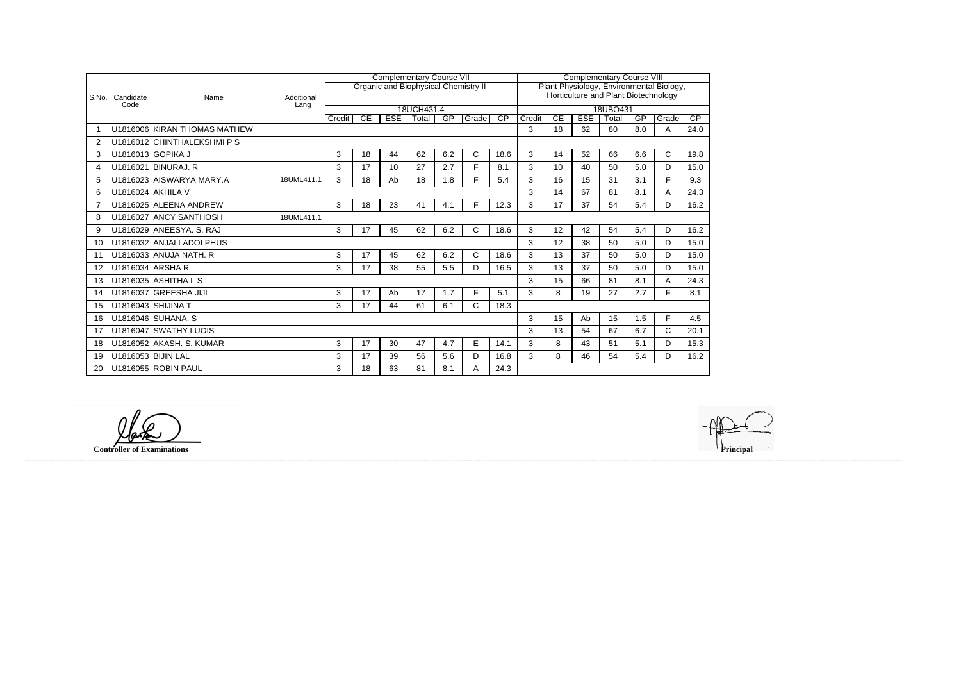|                         |                   |                              | Additional<br>Lang |        |    |            | <b>Complementary Course VII</b> |     |                                             | <b>Complementary Course VIII</b>         |                                      |    |            |          |     |              |                 |  |
|-------------------------|-------------------|------------------------------|--------------------|--------|----|------------|---------------------------------|-----|---------------------------------------------|------------------------------------------|--------------------------------------|----|------------|----------|-----|--------------|-----------------|--|
| S.No.                   |                   |                              |                    |        |    |            |                                 |     | <b>Organic and Biophysical Chemistry II</b> | Plant Physiology, Environmental Biology, |                                      |    |            |          |     |              |                 |  |
|                         | Candidate<br>Code | Name                         |                    |        |    |            |                                 |     |                                             |                                          | Horticulture and Plant Biotechnology |    |            |          |     |              |                 |  |
|                         |                   |                              |                    |        |    |            | 18UCH431.4                      |     |                                             |                                          |                                      |    |            | 18UBO431 |     |              |                 |  |
|                         |                   |                              |                    | Credit | CE | <b>ESE</b> | Total                           | GP  | Grade                                       | $\overline{CP}$                          | Credit                               | CE | <b>ESE</b> | Total    | GP  | Grade        | $\overline{CP}$ |  |
| $\overline{\mathbf{1}}$ |                   | U1816006 KIRAN THOMAS MATHEW |                    |        |    |            |                                 |     |                                             |                                          | 3                                    | 18 | 62         | 80       | 8.0 | A            | 24.0            |  |
| -2                      |                   | U1816012 CHINTHALEKSHMI P S  |                    |        |    |            |                                 |     |                                             |                                          |                                      |    |            |          |     |              |                 |  |
| 3                       |                   | U1816013 GOPIKA J            |                    | 3      | 18 | 44         | 62                              | 6.2 | C.                                          | 18.6                                     | 3                                    | 14 | 52         | 66       | 6.6 | C            | 19.8            |  |
| 4                       |                   | U1816021 BINURAJ. R          |                    | 3      | 17 | 10         | 27                              | 2.7 | F.                                          | 8.1                                      | 3                                    | 10 | 40         | 50       | 5.0 | D            | 15.0            |  |
| 5                       |                   | U1816023 AISWARYA MARY.A     | 18UML411.1         | 3      | 18 | Ab         | 18                              | 1.8 | F.                                          | 5.4                                      | 3                                    | 16 | 15         | 31       | 3.1 | F            | 9.3             |  |
| 6                       |                   | U1816024 AKHILA V            |                    |        |    |            |                                 |     |                                             |                                          | 3                                    | 14 | 67         | 81       | 8.1 | A            | 24.3            |  |
|                         |                   | U1816025 ALEENA ANDREW       |                    | 3      | 18 | 23         | 41                              | 4.1 | F.                                          | 12.3                                     | 3                                    | 17 | 37         | 54       | 5.4 | D            | 16.2            |  |
| 8                       |                   | U1816027 ANCY SANTHOSH       | 18UML411.1         |        |    |            |                                 |     |                                             |                                          |                                      |    |            |          |     |              |                 |  |
| -9                      |                   | U1816029 ANEESYA. S. RAJ     |                    | 3      | 17 | 45         | 62                              | 6.2 | C.                                          | 18.6                                     | 3                                    | 12 | 42         | 54       | 5.4 | D            | 16.2            |  |
| 10                      |                   | U1816032 ANJALI ADOLPHUS     |                    |        |    |            |                                 |     |                                             |                                          | 3                                    | 12 | 38         | 50       | 5.0 | D            | 15.0            |  |
| 11                      |                   | U1816033 ANUJA NATH. R       |                    | 3      | 17 | 45         | 62                              | 6.2 | C                                           | 18.6                                     | 3                                    | 13 | 37         | 50       | 5.0 | D            | 15.0            |  |
| 12                      |                   | U1816034 ARSHA R             |                    | 3      | 17 | 38         | 55                              | 5.5 | D                                           | 16.5                                     | 3                                    | 13 | 37         | 50       | 5.0 | D            | 15.0            |  |
| 13                      |                   | U1816035 ASHITHA L S         |                    |        |    |            |                                 |     |                                             |                                          | 3                                    | 15 | 66         | 81       | 8.1 | Α            | 24.3            |  |
| 14                      |                   | U1816037 GREESHA JIJI        |                    | 3      | 17 | Ab         | 17                              | 1.7 | F.                                          | 5.1                                      | 3                                    | 8  | 19         | 27       | 2.7 | F            | 8.1             |  |
| 15                      |                   | U1816043 SHIJINA T           |                    | 3      | 17 | 44         | 61                              | 6.1 | C                                           | 18.3                                     |                                      |    |            |          |     |              |                 |  |
| 16                      |                   | U1816046 SUHANA. S           |                    |        |    |            |                                 |     |                                             |                                          | 3                                    | 15 | Ab         | 15       | 1.5 | E            | 4.5             |  |
| 17                      |                   | U1816047 SWATHY LUOIS        |                    |        |    |            |                                 |     |                                             |                                          | 3                                    | 13 | 54         | 67       | 6.7 | $\mathsf{C}$ | 20.1            |  |
| 18                      |                   | U1816052 AKASH. S. KUMAR     |                    | 3      | 17 | 30         | 47                              | 4.7 | E                                           | 14.1                                     | 3                                    | 8  | 43         | 51       | 5.1 | D            | 15.3            |  |
| 19                      |                   | U1816053 BIJIN LAL           |                    | 3      | 17 | 39         | 56                              | 5.6 | D                                           | 16.8                                     | 3                                    | 8  | 46         | 54       | 5.4 | D            | 16.2            |  |
| 20                      |                   | U1816055 ROBIN PAUL          |                    | 3      | 18 | 63         | 81                              | 8.1 | A                                           | 24.3                                     |                                      |    |            |          |     |              |                 |  |

land

**Controller of Examinations** 

------------------------------------------------------------------------------------------------------------------------------------------------------------------------------------------------------------------------------------------------------------------------------------------------------------------------------------------------------------------------------------------------------------------------